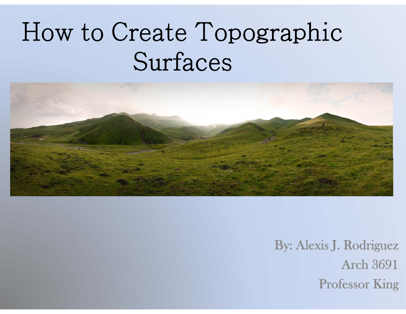## How to Create Topographic Surfaces



By: Alexis J. Rodriguez Arch 3691Professor King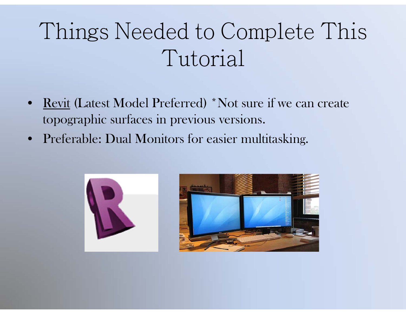## Things Needed to Complete This Tutorial

- $\bullet$ Revit (Latest Model Preferred) \*Not sure if we can create topographic surfaces in previous versions.
- Preferable: Dual Monitors for easier multitasking.



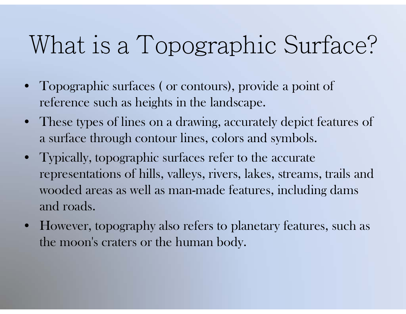## What is a Topographic Surface?

- Topographic surfaces ( or contours), provide a point of reference such as heights in the landscape.
- These types of lines on a drawing, accurately depict features of a surface through contour lines, colors and symbols.
- Typically, topographic surfaces refer to the accurate representations of hills, valleys, rivers, lakes, streams, trails and wooded areas as well as man-made features, including dams and roads.
- $\bullet$  However, topography also refers to planetary features, such as the moon's craters or the human body.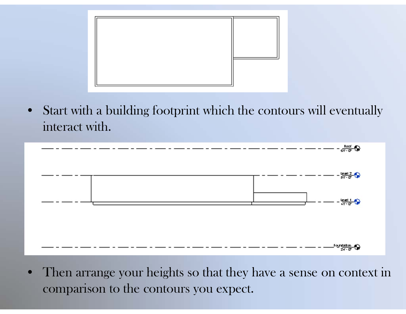

 $\bullet$  Start with a building footprint which the contours will eventually interact with.



 $\bullet$  Then arrange your heights so that they have a sense on context in comparison to the contours you expect.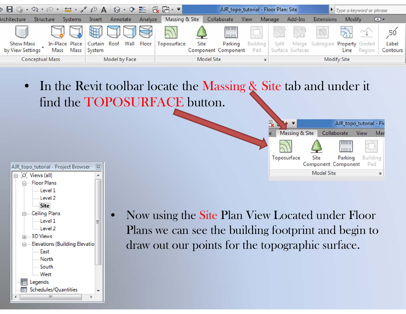

•In the Revit toolbar locate the Massing & Site tab and under it find the TOPOSURFACE button.

|                   |      | AJR_topo_tutorial - Flo        |      |                 |  |
|-------------------|------|--------------------------------|------|-----------------|--|
| Massing & Site    |      | Collaborate                    | View | Mar             |  |
|                   |      |                                |      |                 |  |
| Toposurface       | Site | Parking<br>Component Component |      | Building<br>Pad |  |
| <b>Model Site</b> |      |                                |      |                 |  |



 Now using the Site Plan View Located under Floor Plans we can see the building footprint and begin to draw out our points for the topographic surface.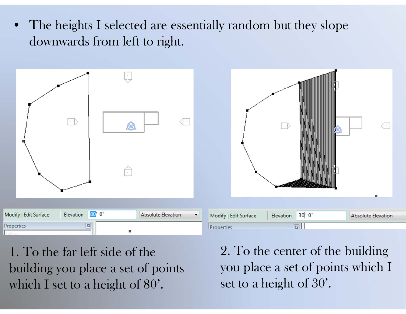• The heights I selected are essentially random but they slope downwards from left to right.



1. To the far left side of the building you place a set of points which I set to a height of 80'.

2. To the center of the building you place a set of points which I set to a height of 30'.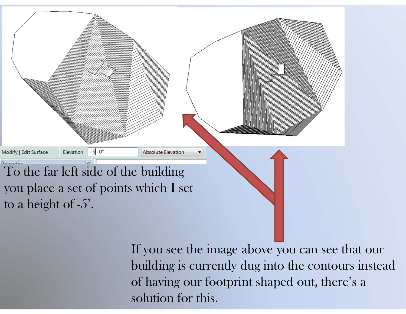

If you see the image above you can see that our building is currently dug into the contours instead of having our footprint shaped out, there's a solution for this.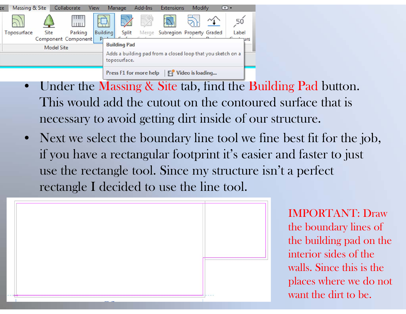

- •Under the Massing & Site tab, find the Building Pad button. This would add the cutout on the contoured surface that is necessary to avoid getting dirt inside of our structure.
- • Next we select the boundary line tool we fine best fit for the job, if you have a rectangular footprint it's easier and faster to just use the rectangle tool. Since my structure isn't a perfect rectangle I decided to use the line tool.



IMPORTANT: Draw the boundary lines of the building pad on the interior sides of the walls. Since this is the places where we do not want the dirt to be.